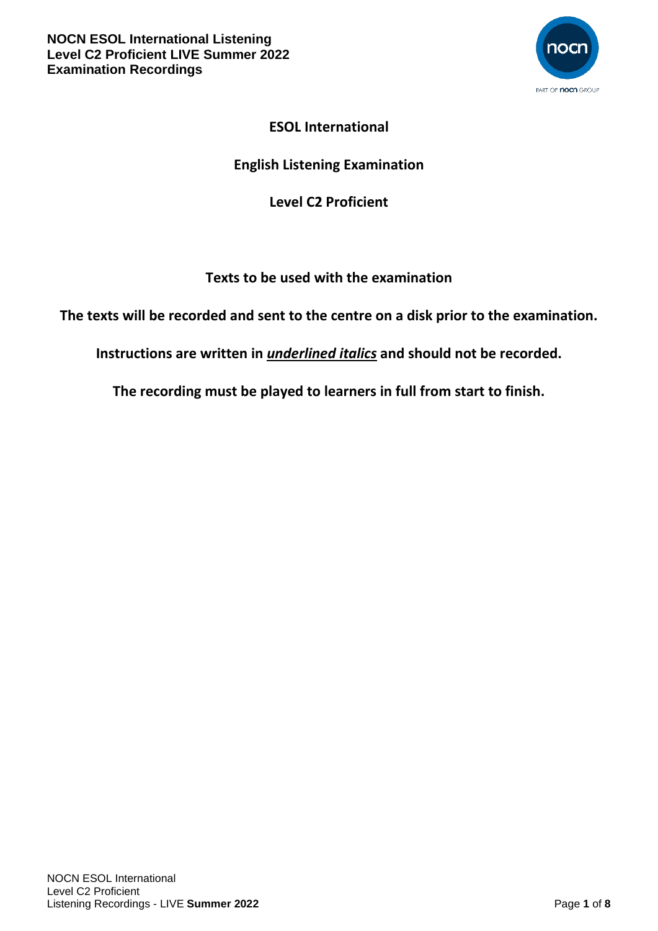

# **ESOL International**

# **English Listening Examination**

## **Level C2 Proficient**

# **Texts to be used with the examination**

**The texts will be recorded and sent to the centre on a disk prior to the examination.**

**Instructions are written in** *underlined italics* **and should not be recorded.**

**The recording must be played to learners in full from start to finish.**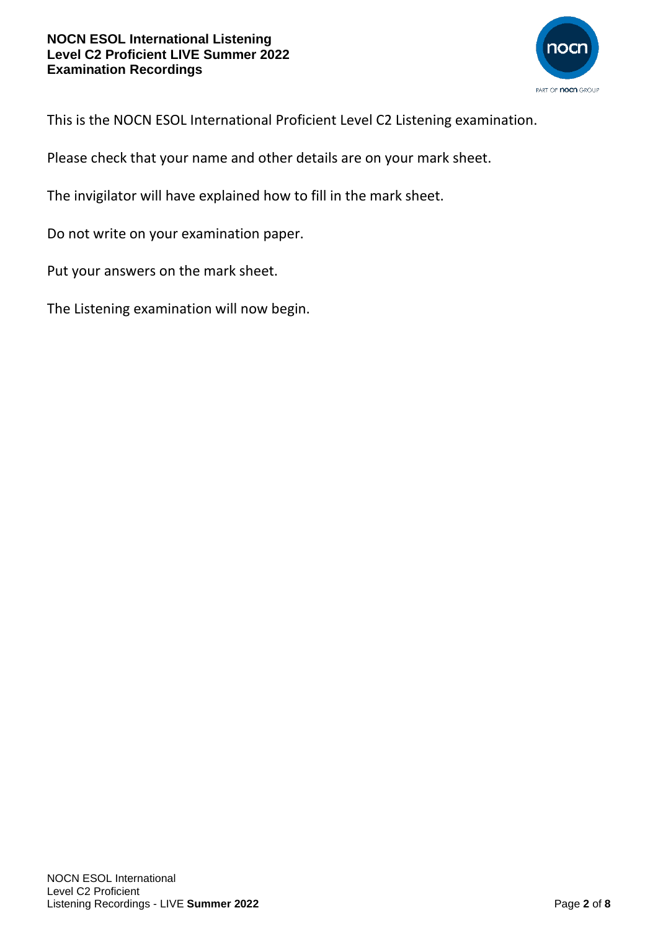

This is the NOCN ESOL International Proficient Level C2 Listening examination.

Please check that your name and other details are on your mark sheet.

The invigilator will have explained how to fill in the mark sheet.

Do not write on your examination paper.

Put your answers on the mark sheet.

The Listening examination will now begin.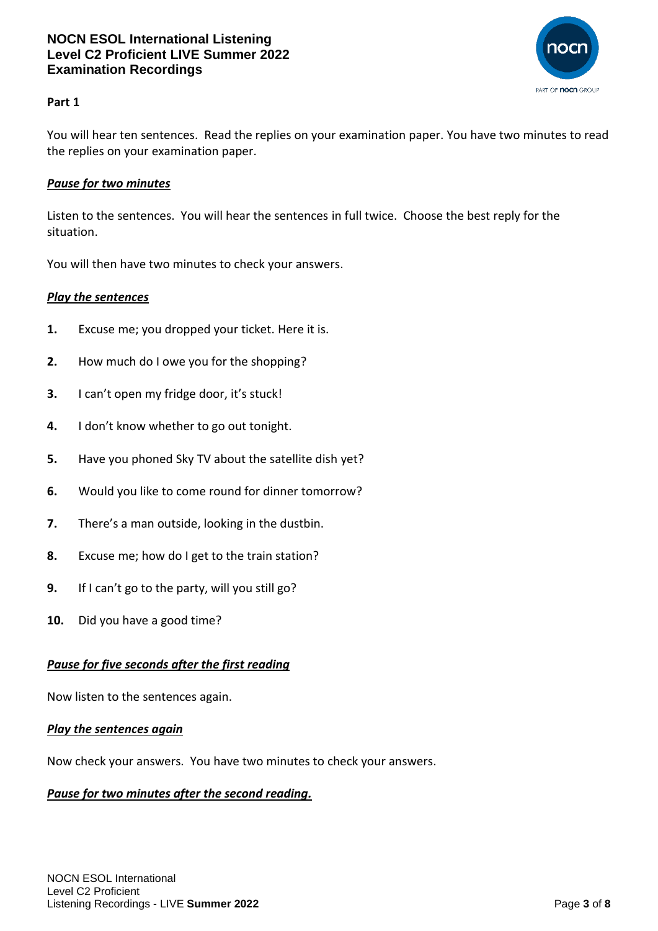

## **Part 1**

You will hear ten sentences. Read the replies on your examination paper. You have two minutes to read the replies on your examination paper.

### *Pause for two minutes*

Listen to the sentences. You will hear the sentences in full twice. Choose the best reply for the situation.

You will then have two minutes to check your answers.

#### *Play the sentences*

- **1.** Excuse me; you dropped your ticket. Here it is.
- **2.** How much do I owe you for the shopping?
- **3.** I can't open my fridge door, it's stuck!
- **4.** I don't know whether to go out tonight.
- **5.** Have you phoned Sky TV about the satellite dish yet?
- **6.** Would you like to come round for dinner tomorrow?
- **7.** There's a man outside, looking in the dustbin.
- **8.** Excuse me; how do I get to the train station?
- **9.** If I can't go to the party, will you still go?
- **10.** Did you have a good time?

#### *Pause for five seconds after the first reading*

Now listen to the sentences again.

#### *Play the sentences again*

Now check your answers. You have two minutes to check your answers.

#### *Pause for two minutes after the second reading.*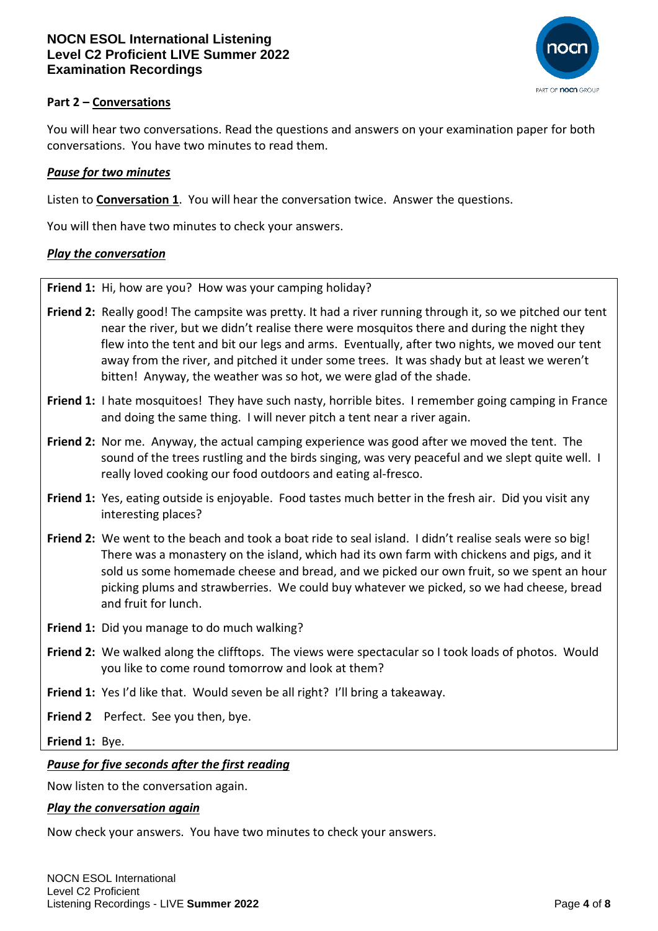

## **Part 2 – Conversations**

You will hear two conversations. Read the questions and answers on your examination paper for both conversations. You have two minutes to read them.

### *Pause for two minutes*

Listen to **Conversation 1**. You will hear the conversation twice. Answer the questions.

You will then have two minutes to check your answers.

#### *Play the conversation*

**Friend 1:** Hi, how are you? How was your camping holiday?

- **Friend 2:** Really good! The campsite was pretty. It had a river running through it, so we pitched our tent near the river, but we didn't realise there were mosquitos there and during the night they flew into the tent and bit our legs and arms. Eventually, after two nights, we moved our tent away from the river, and pitched it under some trees. It was shady but at least we weren't bitten! Anyway, the weather was so hot, we were glad of the shade.
- **Friend 1:** I hate mosquitoes! They have such nasty, horrible bites. I remember going camping in France and doing the same thing. I will never pitch a tent near a river again.
- **Friend 2:** Nor me. Anyway, the actual camping experience was good after we moved the tent. The sound of the trees rustling and the birds singing, was very peaceful and we slept quite well. I really loved cooking our food outdoors and eating al-fresco.
- **Friend 1:** Yes, eating outside is enjoyable. Food tastes much better in the fresh air. Did you visit any interesting places?
- **Friend 2:** We went to the beach and took a boat ride to seal island. I didn't realise seals were so big! There was a monastery on the island, which had its own farm with chickens and pigs, and it sold us some homemade cheese and bread, and we picked our own fruit, so we spent an hour picking plums and strawberries. We could buy whatever we picked, so we had cheese, bread and fruit for lunch.
- **Friend 1:** Did you manage to do much walking?
- **Friend 2:** We walked along the clifftops. The views were spectacular so I took loads of photos. Would you like to come round tomorrow and look at them?
- **Friend 1:** Yes I'd like that. Would seven be all right? I'll bring a takeaway.
- **Friend 2** Perfect. See you then, bye.

**Friend 1:** Bye.

#### *Pause for five seconds after the first reading*

Now listen to the conversation again.

#### *Play the conversation again*

Now check your answers. You have two minutes to check your answers.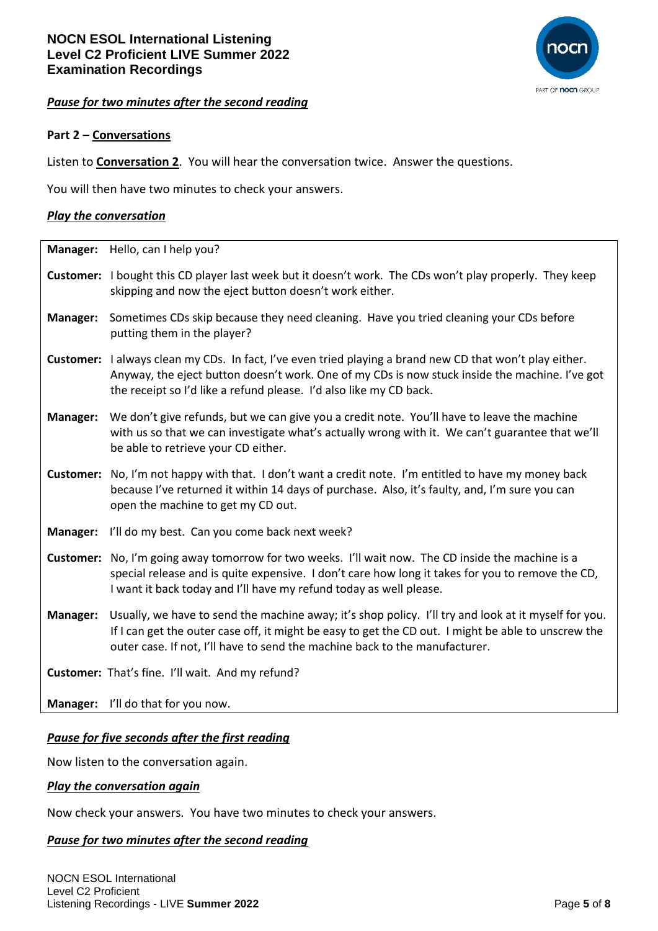

#### *Pause for two minutes after the second reading*

### **Part 2 – Conversations**

Listen to **Conversation 2**. You will hear the conversation twice. Answer the questions.

You will then have two minutes to check your answers.

#### *Play the conversation*

|                  | Manager: Hello, can I help you?                                                                                                                                                                                                                                                            |
|------------------|--------------------------------------------------------------------------------------------------------------------------------------------------------------------------------------------------------------------------------------------------------------------------------------------|
|                  | <b>Customer:</b> I bought this CD player last week but it doesn't work. The CDs won't play properly. They keep<br>skipping and now the eject button doesn't work either.                                                                                                                   |
| Manager:         | Sometimes CDs skip because they need cleaning. Have you tried cleaning your CDs before<br>putting them in the player?                                                                                                                                                                      |
|                  | Customer: I always clean my CDs. In fact, I've even tried playing a brand new CD that won't play either.<br>Anyway, the eject button doesn't work. One of my CDs is now stuck inside the machine. I've got<br>the receipt so I'd like a refund please. I'd also like my CD back.           |
| Manager:         | We don't give refunds, but we can give you a credit note. You'll have to leave the machine<br>with us so that we can investigate what's actually wrong with it. We can't guarantee that we'll<br>be able to retrieve your CD either.                                                       |
| <b>Customer:</b> | No, I'm not happy with that. I don't want a credit note. I'm entitled to have my money back<br>because I've returned it within 14 days of purchase. Also, it's faulty, and, I'm sure you can<br>open the machine to get my CD out.                                                         |
| Manager:         | I'll do my best. Can you come back next week?                                                                                                                                                                                                                                              |
| <b>Customer:</b> | No, I'm going away tomorrow for two weeks. I'll wait now. The CD inside the machine is a<br>special release and is quite expensive. I don't care how long it takes for you to remove the CD,<br>I want it back today and I'll have my refund today as well please.                         |
| Manager:         | Usually, we have to send the machine away; it's shop policy. I'll try and look at it myself for you.<br>If I can get the outer case off, it might be easy to get the CD out. I might be able to unscrew the<br>outer case. If not, I'll have to send the machine back to the manufacturer. |
|                  | Customer: That's fine. I'll wait. And my refund?                                                                                                                                                                                                                                           |
|                  | Manager: I'll do that for you now.                                                                                                                                                                                                                                                         |

#### *Pause for five seconds after the first reading*

Now listen to the conversation again.

#### *Play the conversation again*

Now check your answers. You have two minutes to check your answers.

#### *Pause for two minutes after the second reading*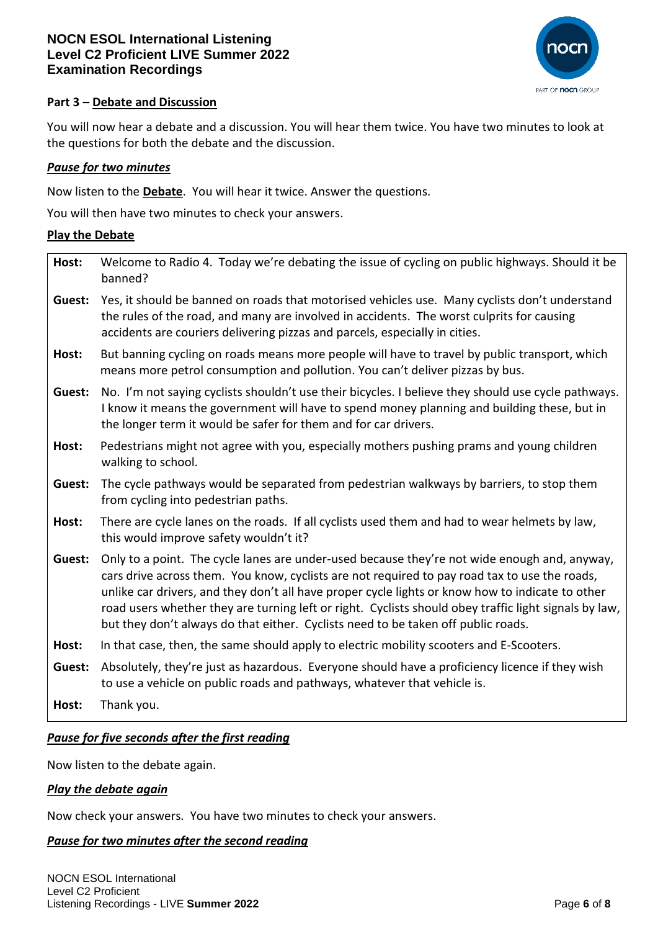

## **Part 3 – Debate and Discussion**

You will now hear a debate and a discussion. You will hear them twice. You have two minutes to look at the questions for both the debate and the discussion.

### *Pause for two minutes*

Now listen to the **Debate**. You will hear it twice. Answer the questions.

You will then have two minutes to check your answers.

#### **Play the Debate**

| Host:  | Welcome to Radio 4. Today we're debating the issue of cycling on public highways. Should it be<br>banned?                                                                                                                                                                                                                                                                                                                                                                                       |
|--------|-------------------------------------------------------------------------------------------------------------------------------------------------------------------------------------------------------------------------------------------------------------------------------------------------------------------------------------------------------------------------------------------------------------------------------------------------------------------------------------------------|
| Guest: | Yes, it should be banned on roads that motorised vehicles use. Many cyclists don't understand<br>the rules of the road, and many are involved in accidents. The worst culprits for causing<br>accidents are couriers delivering pizzas and parcels, especially in cities.                                                                                                                                                                                                                       |
| Host:  | But banning cycling on roads means more people will have to travel by public transport, which<br>means more petrol consumption and pollution. You can't deliver pizzas by bus.                                                                                                                                                                                                                                                                                                                  |
| Guest: | No. I'm not saying cyclists shouldn't use their bicycles. I believe they should use cycle pathways.<br>I know it means the government will have to spend money planning and building these, but in<br>the longer term it would be safer for them and for car drivers.                                                                                                                                                                                                                           |
| Host:  | Pedestrians might not agree with you, especially mothers pushing prams and young children<br>walking to school.                                                                                                                                                                                                                                                                                                                                                                                 |
| Guest: | The cycle pathways would be separated from pedestrian walkways by barriers, to stop them<br>from cycling into pedestrian paths.                                                                                                                                                                                                                                                                                                                                                                 |
| Host:  | There are cycle lanes on the roads. If all cyclists used them and had to wear helmets by law,<br>this would improve safety wouldn't it?                                                                                                                                                                                                                                                                                                                                                         |
| Guest: | Only to a point. The cycle lanes are under-used because they're not wide enough and, anyway,<br>cars drive across them. You know, cyclists are not required to pay road tax to use the roads,<br>unlike car drivers, and they don't all have proper cycle lights or know how to indicate to other<br>road users whether they are turning left or right. Cyclists should obey traffic light signals by law,<br>but they don't always do that either. Cyclists need to be taken off public roads. |
| Host:  | In that case, then, the same should apply to electric mobility scooters and E-Scooters.                                                                                                                                                                                                                                                                                                                                                                                                         |
| Guest: | Absolutely, they're just as hazardous. Everyone should have a proficiency licence if they wish<br>to use a vehicle on public roads and pathways, whatever that vehicle is.                                                                                                                                                                                                                                                                                                                      |
| Host:  | Thank you.                                                                                                                                                                                                                                                                                                                                                                                                                                                                                      |

## *Pause for five seconds after the first reading*

Now listen to the debate again.

#### *Play the debate again*

Now check your answers. You have two minutes to check your answers.

#### *Pause for two minutes after the second reading*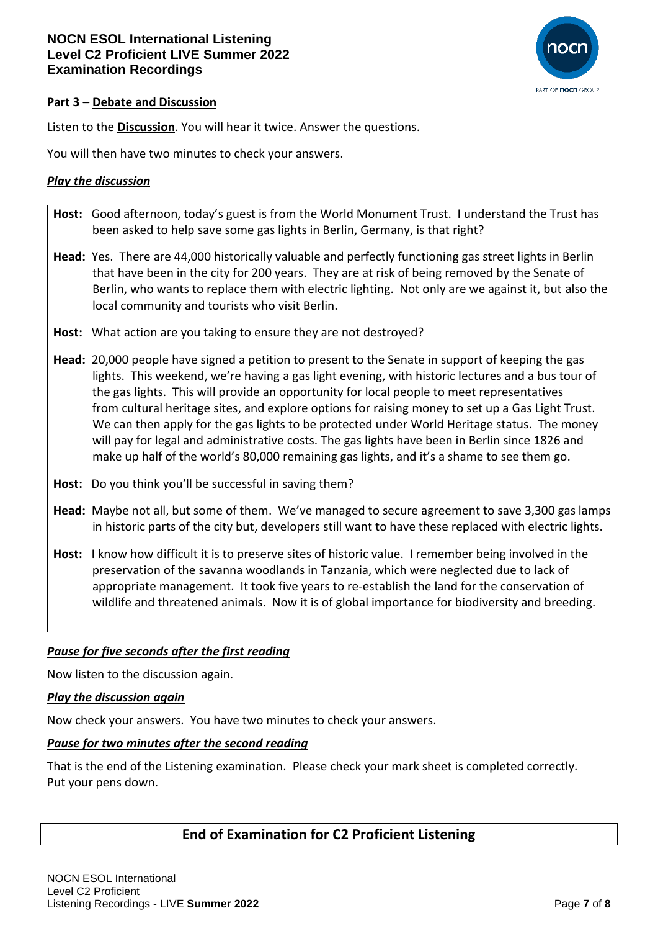

## **Part 3 – Debate and Discussion**

Listen to the **Discussion**. You will hear it twice. Answer the questions.

You will then have two minutes to check your answers.

### *Play the discussion*

- **Host:** Good afternoon, today's guest is from the World Monument Trust. I understand the Trust has been asked to help save some gas lights in Berlin, Germany, is that right?
- **Head:** Yes. There are 44,000 historically valuable and perfectly functioning gas street lights in Berlin that have been in the city for 200 years. They are at risk of being removed by the Senate of Berlin, who wants to replace them with electric lighting. Not only are we against it, but also the local community and tourists who visit Berlin.
- **Host:** What action are you taking to ensure they are not destroyed?
- **Head:** 20,000 people have signed a petition to present to the Senate in support of keeping the gas lights. This weekend, we're having a gas light evening, with historic lectures and a bus tour of the gas lights. This will provide an opportunity for local people to meet representatives from cultural heritage sites, and explore options for raising money to set up a Gas Light Trust. We can then apply for the gas lights to be protected under World Heritage status. The money will pay for legal and administrative costs. The gas lights have been in Berlin since 1826 and make up half of the world's 80,000 remaining gas lights, and it's a shame to see them go.
- **Host:** Do you think you'll be successful in saving them?
- **Head:** Maybe not all, but some of them. We've managed to secure agreement to save 3,300 gas lamps in historic parts of the city but, developers still want to have these replaced with electric lights.
- **Host:** I know how difficult it is to preserve sites of historic value. I remember being involved in the preservation of the savanna woodlands in Tanzania, which were neglected due to lack of appropriate management. It took five years to re-establish the land for the conservation of wildlife and threatened animals. Now it is of global importance for biodiversity and breeding.

## *Pause for five seconds after the first reading*

Now listen to the discussion again.

#### *Play the discussion again*

Now check your answers. You have two minutes to check your answers.

#### *Pause for two minutes after the second reading*

That is the end of the Listening examination. Please check your mark sheet is completed correctly. Put your pens down.

## **End of Examination for C2 Proficient Listening**